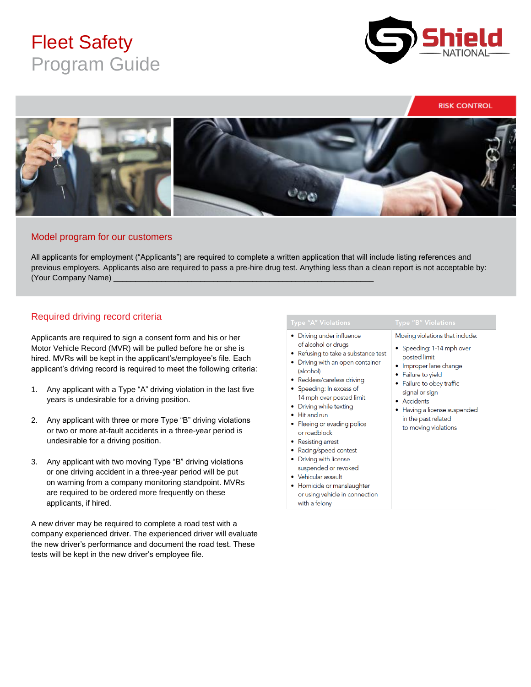# Fleet Safety Program Guide



**RISK CONTROL** 



#### Model program for our customers

All applicants for employment ("Applicants") are required to complete a written application that will include listing references and previous employers. Applicants also are required to pass a pre-hire drug test. Anything less than a clean report is not acceptable by: (Your Company Name)

## Required driving record criteria

Applicants are required to sign a consent form and his or her Motor Vehicle Record (MVR) will be pulled before he or she is hired. MVRs will be kept in the applicant's/employee's file. Each applicant's driving record is required to meet the following criteria:

- 1. Any applicant with a Type "A" driving violation in the last five years is undesirable for a driving position.
- 2. Any applicant with three or more Type "B" driving violations or two or more at-fault accidents in a three-year period is undesirable for a driving position.
- 3. Any applicant with two moving Type "B" driving violations or one driving accident in a three-year period will be put on warning from a company monitoring standpoint. MVRs are required to be ordered more frequently on these applicants, if hired.

A new driver may be required to complete a road test with a company experienced driver. The experienced driver will evaluate the new driver's performance and document the road test. These tests will be kept in the new driver's employee file.

- Driving under influence of alcohol or drugs
- Refusing to take a substance test
- Driving with an open container (alcohol)
- Reckless/careless driving
- Speeding: In excess of 14 mph over posted limit
- Driving while texting
- Hit and run
- Fleeing or evading police or roadblock
- Resisting arrest
- Racing/speed contest
- Driving with license suspended or revoked
- Vehicular assault
- · Homicide or manslaughter or using vehicle in connection with a felony

- Moving violations that include:
- Speeding: 1-14 mph over posted limit
- Improper lane change
- Failure to yield
- Failure to obey traffic signal or sign
- Accidents
- Having a license suspended in the past related to moving violations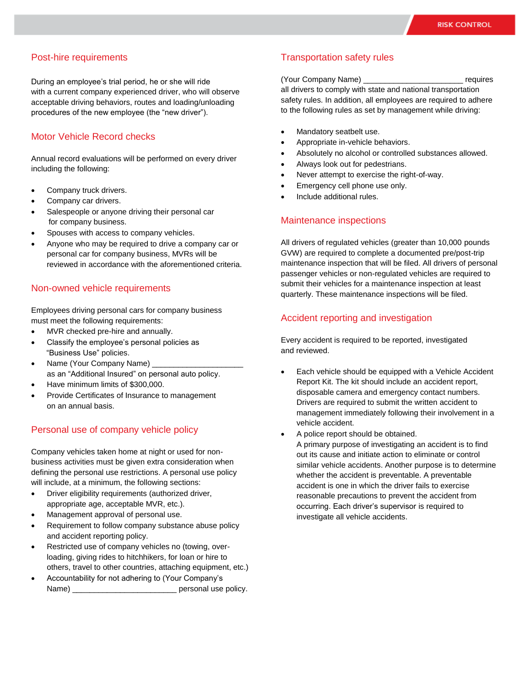### Post-hire requirements

During an employee's trial period, he or she will ride with a current company experienced driver, who will observe acceptable driving behaviors, routes and loading/unloading procedures of the new employee (the "new driver").

### Motor Vehicle Record checks

Annual record evaluations will be performed on every driver including the following:

- Company truck drivers.
- Company car drivers.
- Salespeople or anyone driving their personal car for company business.
- Spouses with access to company vehicles.
- Anyone who may be required to drive a company car or personal car for company business, MVRs will be reviewed in accordance with the aforementioned criteria.

#### Non-owned vehicle requirements

Employees driving personal cars for company business must meet the following requirements:

- MVR checked pre-hire and annually.
- Classify the employee's personal policies as "Business Use" policies.
- Name (Your Company Name) as an "Additional Insured" on personal auto policy.
- Have minimum limits of \$300,000.
- Provide Certificates of Insurance to management on an annual basis.

#### Personal use of company vehicle policy

Company vehicles taken home at night or used for nonbusiness activities must be given extra consideration when defining the personal use restrictions. A personal use policy will include, at a minimum, the following sections:

- Driver eligibility requirements (authorized driver, appropriate age, acceptable MVR, etc.).
- Management approval of personal use.
- Requirement to follow company substance abuse policy and accident reporting policy.
- Restricted use of company vehicles no (towing, overloading, giving rides to hitchhikers, for loan or hire to others, travel to other countries, attaching equipment, etc.)
- Accountability for not adhering to (Your Company's Name) **Name**

#### Transportation safety rules

(Your Company Name) \_\_\_\_\_\_\_\_\_\_\_\_\_\_\_\_\_\_\_\_\_\_\_ requires all drivers to comply with state and national transportation safety rules. In addition, all employees are required to adhere to the following rules as set by management while driving:

- Mandatory seatbelt use.
- Appropriate in-vehicle behaviors.
- Absolutely no alcohol or controlled substances allowed.
- Always look out for pedestrians.
- Never attempt to exercise the right-of-way.
- Emergency cell phone use only.
- Include additional rules.

#### Maintenance inspections

All drivers of regulated vehicles (greater than 10,000 pounds GVW) are required to complete a documented pre/post-trip maintenance inspection that will be filed. All drivers of personal passenger vehicles or non-regulated vehicles are required to submit their vehicles for a maintenance inspection at least quarterly. These maintenance inspections will be filed.

#### Accident reporting and investigation

Every accident is required to be reported, investigated and reviewed.

- Each vehicle should be equipped with a Vehicle Accident Report Kit. The kit should include an accident report, disposable camera and emergency contact numbers. Drivers are required to submit the written accident to management immediately following their involvement in a vehicle accident.
- A police report should be obtained.

A primary purpose of investigating an accident is to find out its cause and initiate action to eliminate or control similar vehicle accidents. Another purpose is to determine whether the accident is preventable. A preventable accident is one in which the driver fails to exercise reasonable precautions to prevent the accident from occurring. Each driver's supervisor is required to investigate all vehicle accidents.